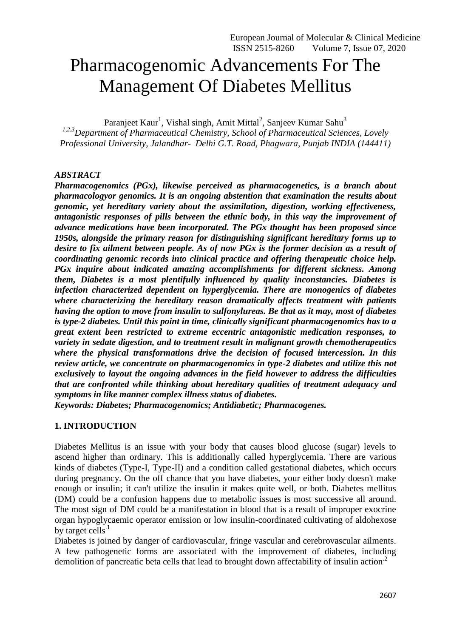# Pharmacogenomic Advancements For The Management Of Diabetes Mellitus

Paranjeet Kaur<sup>1</sup>, Vishal singh, Amit Mittal<sup>2</sup>, Sanjeev Kumar Sahu<sup>3</sup>

*1,2,3Department of Pharmaceutical Chemistry, School of Pharmaceutical Sciences, Lovely Professional University, Jalandhar- Delhi G.T. Road, Phagwara, Punjab INDIA (144411)*

## *ABSTRACT*

*Pharmacogenomics (PGx), likewise perceived as pharmacogenetics, is a branch about pharmacologyor genomics. It is an ongoing abstention that examination the results about genomic, yet hereditary variety about the assimilation, digestion, working effectiveness, antagonistic responses of pills between the ethnic body, in this way the improvement of advance medications have been incorporated. The PGx thought has been proposed since 1950s, alongside the primary reason for distinguishing significant hereditary forms up to desire to fix ailment between people. As of now PGx is the former decision as a result of coordinating genomic records into clinical practice and offering therapeutic choice help. PGx inquire about indicated amazing accomplishments for different sickness. Among them, Diabetes is a most plentifully influenced by quality inconstancies. Diabetes is infection characterized dependent on hyperglycemia. There are monogenics of diabetes where characterizing the hereditary reason dramatically affects treatment with patients having the option to move from insulin to sulfonylureas. Be that as it may, most of diabetes is type-2 diabetes. Until this point in time, clinically significant pharmacogenomics has to a great extent been restricted to extreme eccentric antagonistic medication responses, to variety in sedate digestion, and to treatment result in malignant growth chemotherapeutics where the physical transformations drive the decision of focused intercession. In this review article, we concentrate on pharmacogenomics in type-2 diabetes and utilize this not exclusively to layout the ongoing advances in the field however to address the difficulties that are confronted while thinking about hereditary qualities of treatment adequacy and symptoms in like manner complex illness status of diabetes.*

*Keywords: Diabetes; Pharmacogenomics; Antidiabetic; Pharmacogenes.*

## **1. INTRODUCTION**

Diabetes Mellitus is an issue with your body that causes blood glucose (sugar) levels to ascend higher than ordinary. This is additionally called hyperglycemia. There are various kinds of diabetes (Type-I, Type-II) and a condition called gestational diabetes, which occurs during pregnancy. On the off chance that you have diabetes, your either body doesn't make enough or insulin; it can't utilize the insulin it makes quite well, or both. Diabetes mellitus (DM) could be a confusion happens due to metabolic issues is most successive all around. The most sign of DM could be a manifestation in blood that is a result of improper exocrine organ hypoglycaemic operator emission or low insulin-coordinated cultivating of aldohexose by target cells $^{-1}$ 

Diabetes is joined by danger of cardiovascular, fringe vascular and cerebrovascular ailments. A few pathogenetic forms are associated with the improvement of diabetes, including demolition of pancreatic beta cells that lead to brought down affectability of insulin action<sup>2</sup>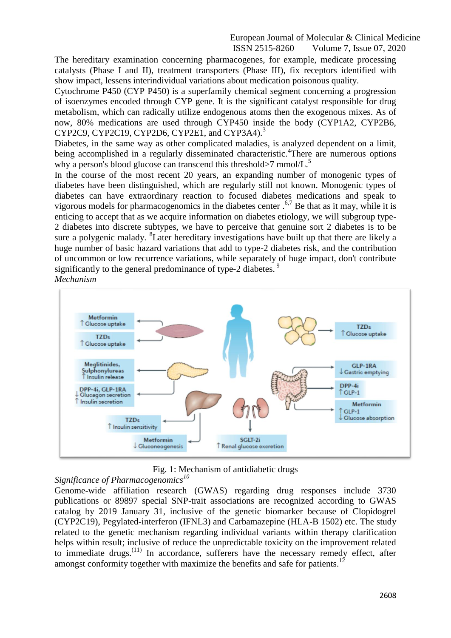The hereditary examination concerning pharmacogenes, for example, medicate processing catalysts (Phase I and II), treatment transporters (Phase III), fix receptors identified with show impact, lessens interindividual variations about medication poisonous quality.

Cytochrome P450 (CYP P450) is a superfamily chemical segment concerning a progression of isoenzymes encoded through CYP gene. It is the significant catalyst responsible for drug metabolism, which can radically utilize endogenous atoms then the exogenous mixes. As of now, 80% medications are used through CYP450 inside the body (CYP1A2, CYP2B6, CYP2C9, CYP2C19, CYP2D6, CYP2E1, and CYP3A4).<sup>3</sup>

Diabetes, in the same way as other complicated maladies, is analyzed dependent on a limit, being accomplished in a regularly disseminated characteristic.<sup>4</sup>There are numerous options why a person's blood glucose can transcend this threshold>7 mmol/L.<sup>5</sup>

In the course of the most recent 20 years, an expanding number of monogenic types of diabetes have been distinguished, which are regularly still not known. Monogenic types of diabetes can have extraordinary reaction to focused diabetes medications and speak to vigorous models for pharmacogenomics in the diabetes center . 6,7 Be that as it may, while it is enticing to accept that as we acquire information on diabetes etiology, we will subgroup type-2 diabetes into discrete subtypes, we have to perceive that genuine sort 2 diabetes is to be sure a polygenic malady. <sup>8</sup>Later hereditary investigations have built up that there are likely a huge number of basic hazard variations that add to type-2 diabetes risk, and the contribution of uncommon or low recurrence variations, while separately of huge impact, don't contribute significantly to the general predominance of type-2 diabetes.<sup>9</sup> *Mechanism*



Fig. 1: Mechanism of antidiabetic drugs

## *Significance of Pharmacogenomics<sup>10</sup>*

Genome-wide affiliation research (GWAS) regarding drug responses include 3730 publications or 89897 special SNP-trait associations are recognized according to GWAS catalog by 2019 January 31, inclusive of the genetic biomarker because of Clopidogrel (CYP2C19), Pegylated-interferon (IFNL3) and Carbamazepine (HLA-B 1502) etc. The study related to the genetic mechanism regarding individual variants within therapy clarification helps within result; inclusive of reduce the unpredictable toxicity on the improvement related to immediate drugs.<sup> $(11)$ </sup> In accordance, sufferers have the necessary remedy effect, after amongst conformity together with maximize the benefits and safe for patients.<sup>12</sup>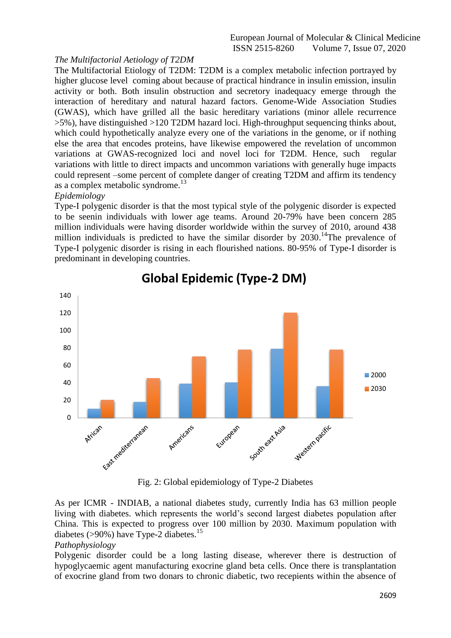## *The Multifactorial Aetiology of T2DM*

The Multifactorial Etiology of T2DM: T2DM is a complex metabolic infection portrayed by higher glucose level coming about because of practical hindrance in insulin emission, insulin activity or both. Both insulin obstruction and secretory inadequacy emerge through the interaction of hereditary and natural hazard factors. Genome-Wide Association Studies (GWAS), which have grilled all the basic hereditary variations (minor allele recurrence >5%), have distinguished >120 T2DM hazard loci. High-throughput sequencing thinks about, which could hypothetically analyze every one of the variations in the genome, or if nothing else the area that encodes proteins, have likewise empowered the revelation of uncommon variations at GWAS-recognized loci and novel loci for T2DM. Hence, such regular variations with little to direct impacts and uncommon variations with generally huge impacts could represent –some percent of complete danger of creating T2DM and affirm its tendency as a complex metabolic syndrome. 13

## *Epidemiology*

Type-I polygenic disorder is that the most typical style of the polygenic disorder is expected to be seenin individuals with lower age teams. Around 20-79% have been concern 285 million individuals were having disorder worldwide within the survey of 2010, around 438 million individuals is predicted to have the similar disorder by  $2030$ .<sup>14</sup>The prevalence of Type-I polygenic disorder is rising in each flourished nations. 80-95% of Type-I disorder is predominant in developing countries.



## **Global Epidemic (Type-2 DM)**

Fig. 2: Global epidemiology of Type-2 Diabetes

As per ICMR - INDIAB, a national diabetes study, currently India has 63 million people living with diabetes. which represents the world's second largest diabetes population after China. This is expected to progress over 100 million by 2030. Maximum population with diabetes ( $>90\%$ ) have Type-2 diabetes.<sup>15</sup>

## *Pathophysiology*

Polygenic disorder could be a long lasting disease, wherever there is destruction of hypoglycaemic agent manufacturing exocrine gland beta cells. Once there is transplantation of exocrine gland from two donars to chronic diabetic, two recepients within the absence of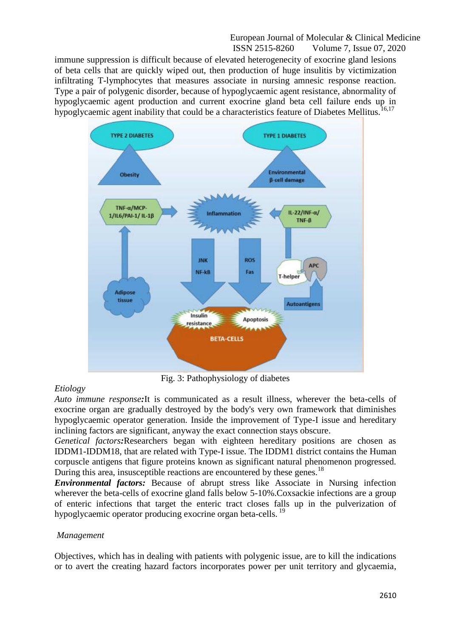immune suppression is difficult because of elevated heterogenecity of exocrine gland lesions of beta cells that are quickly wiped out, then production of huge insulitis by victimization infiltrating T-lymphocytes that measures associate in nursing amnesic response reaction. Type a pair of polygenic disorder, because of hypoglycaemic agent resistance, abnormality of hypoglycaemic agent production and current exocrine gland beta cell failure ends up in hypoglycaemic agent inability that could be a characteristics feature of Diabetes Mellitus.<sup>16,17</sup>



Fig. 3: Pathophysiology of diabetes

## *Etiology*

*Auto immune response:*It is communicated as a result illness, wherever the beta-cells of exocrine organ are gradually destroyed by the body's very own framework that diminishes hypoglycaemic operator generation. Inside the improvement of Type-I issue and hereditary inclining factors are significant, anyway the exact connection stays obscure.

*Genetical factors:*Researchers began with eighteen hereditary positions are chosen as IDDM1-IDDM18, that are related with Type-I issue. The IDDM1 district contains the Human corpuscle antigens that figure proteins known as significant natural phenomenon progressed. During this area, insusceptible reactions are encountered by these genes.<sup>18</sup>

*Environmental factors:* Because of abrupt stress like Associate in Nursing infection wherever the beta-cells of exocrine gland falls below 5-10%.Coxsackie infections are a group of enteric infections that target the enteric tract closes falls up in the pulverization of hypoglycaemic operator producing exocrine organ beta-cells.<sup>19</sup>

## *Management*

Objectives, which has in dealing with patients with polygenic issue, are to kill the indications or to avert the creating hazard factors incorporates power per unit territory and glycaemia,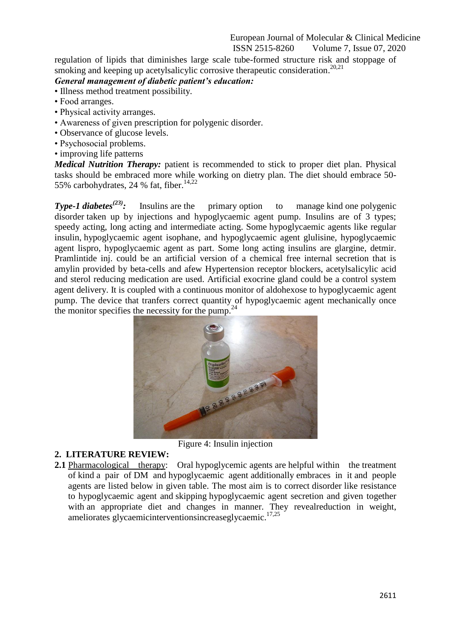regulation of lipids that diminishes large scale tube-formed structure risk and stoppage of smoking and keeping up acetylsalicylic corrosive therapeutic consideration.<sup>20,21</sup>

## *General management of diabetic patient's education:*

- Illness method treatment possibility.
- Food arranges.
- Physical activity arranges.
- Awareness of given prescription for polygenic disorder.
- Observance of glucose levels.
- Psychosocial problems.
- improving life patterns

*Medical Nutrition Therapy:* patient is recommended to stick to proper diet plan. Physical tasks should be embraced more while working on dietry plan. The diet should embrace 50- 55% carbohydrates, 24 % fat, fiber.<sup>14,22</sup>

*Type-1 diabetes(23)* Insulins are the primary option to manage kind one polygenic disorder taken up by injections and hypoglycaemic agent pump. Insulins are of 3 types; speedy acting, long acting and intermediate acting. Some hypoglycaemic agents like regular insulin, hypoglycaemic agent isophane, and hypoglycaemic agent glulisine, hypoglycaemic agent lispro, hypoglycaemic agent as part. Some long acting insulins are glargine, detmir. Pramlintide inj. could be an artificial version of a chemical free internal secretion that is amylin provided by beta-cells and afew Hypertension receptor blockers, acetylsalicylic acid and sterol reducing medication are used. Artificial exocrine gland could be a control system agent delivery. It is coupled with a continuous monitor of aldohexose to hypoglycaemic agent pump. The device that tranfers correct quantity of hypoglycaemic agent mechanically once the monitor specifies the necessity for the pump.<sup>24</sup>



Figure 4: Insulin injection

## **2. LITERATURE REVIEW:**

**2.1** Pharmacological therapy: Oral hypoglycemic agents are helpful within the treatment of kind a pair of DM and hypoglycaemic agent additionally embraces in it and people agents are listed below in given table. The most aim is to correct disorder like resistance to hypoglycaemic agent and skipping hypoglycaemic agent secretion and given together with an appropriate diet and changes in manner. They revealreduction in weight, ameliorates glycaemicinterventionsincreaseglycaemic. 17,25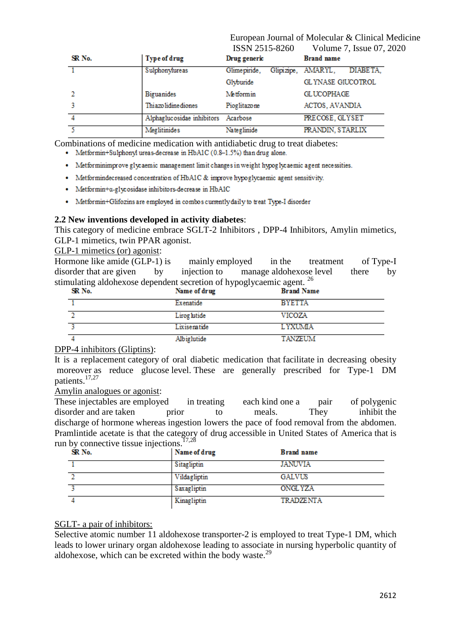|        |                                     | ISSN 2515-8260 |  | Volume 7, Issue 07, 2020 |          |  |
|--------|-------------------------------------|----------------|--|--------------------------|----------|--|
| SR No. | Type of drug                        | Drug generic   |  | <b>Brand</b> name        |          |  |
|        | Sulphonylureas                      | Glimepiride,   |  | Glipizipe, AMARYL,       | DIABETA. |  |
|        |                                     | Glyburide      |  | GLYNASE GIUCOTROL        |          |  |
|        | <b>Biguanides</b>                   | Metformin      |  | <b>GLUCOPHAGE</b>        |          |  |
|        | Thi azo lidine diones               | Pioglitazone   |  | ACTOS, AVANDIA           |          |  |
|        | Alphaglucosidae inhibitors Acarbose |                |  | PRECOSE, GLYSET          |          |  |
|        | Meglitinides                        | Nateglinide    |  | PRANDIN, STARLIX         |          |  |

European Journal of Molecular & Clinical Medicine

Combinations of medicine medication with antidiabetic drug to treat diabetes:<br>• Metformin+Sulphonyl ureas-decrease in HbA1C (0.8–1.5%) than drug alone.

- 
- Metforminimprove glycaemic management limit changes in weight hypoglycaemic agent necessities.
- Metformindecreased concentration of HbA1C & improve hypoglycaemic agent sensitivity.
- · Metformin+a-glycosidase inhibitors-decrease in HbAlC
- Metformin+Glifozins are employed in combos currently daily to treat Type-I disorder

### **2.2 New inventions developed in activity diabetes**:

This category of medicine embrace SGLT-2 Inhibitors , DPP-4 Inhibitors, Amylin mimetics, GLP-1 mimetics, twin PPAR agonist.

#### GLP-1 mimetics (or) agonist:

Hormone like amide (GLP-1) is mainly employed in the treatment of Type-I disorder that are given by injection to manage aldohexose level there by stimulating aldohexose dependent secretion of hypoglycaemic agent.<sup>26</sup>

| SR No. | Name of drug | <b>Brand Name</b> |
|--------|--------------|-------------------|
|        | Exenatide    | <b>BYETTA</b>     |
|        | Lirog lutide | VICOZA            |
|        | Lixisenatide | <b>LYXUMIA</b>    |
|        | Albiglutide  | TANZEUM           |

#### DPP-4 inhibitors (Gliptins):

It is a replacement category of oral diabetic medication that facilitate in decreasing obesity moreover as reduce glucose level. These are generally prescribed for Type-1 DM patients. 17,27

#### Amylin analogues or agonist:

These injectables are employed in treating each kind one a pair of polygenic disorder and are taken prior to meals. They inhibit the discharge of hormone whereas ingestion lowers the pace of food removal from the abdomen. Pramlintide acetate is that the category of drug accessible in United States of America that is run by connective tissue injections.  $17,28$ 

| $\cdot$<br>SR <sub>No.</sub> | Name of drug | <b>Brand name</b> |
|------------------------------|--------------|-------------------|
|                              | Sitagliptin  | JANUVIA           |
|                              | Vildagliptin | <b>GALVUS</b>     |
|                              | Saxagliptin  | ONGLYZA           |
|                              | Kinagliptin  | TRADZENTA         |

#### SGLT- a pair of inhibitors:

Selective atomic number 11 aldohexose transporter-2 is employed to treat Type-1 DM, which leads to lower urinary organ aldohexose leading to associate in nursing hyperbolic quantity of aldohexose, which can be excreted within the body waste.<sup>29</sup>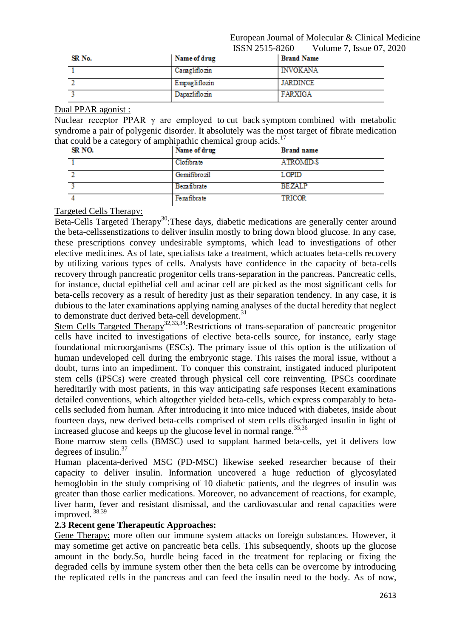|        | $1001120130200$ volume $\lambda$ , issue 07, |                   |  |
|--------|----------------------------------------------|-------------------|--|
| SR No. | Name of drug                                 | <b>Brand Name</b> |  |
|        | Canagliflozin                                | INVOKANA          |  |
|        | Empagliflozin                                | <b>JARDINCE</b>   |  |
|        | Dapazliflozin                                | FARXIGA           |  |

#### Dual PPAR agonist :

Nuclear receptor PPAR  $\gamma$  are employed to cut back symptom combined with metabolic syndrome a pair of polygenic disorder. It absolutely was the most target of fibrate medication that could be a category of amphipathic chemical group acids.<sup>17</sup>

| .<br>SR NO. | Name of drug | <b>Brand name</b> |
|-------------|--------------|-------------------|
|             | Clofibrate   | <b>ATROMID-S</b>  |
|             | Gemifibrozil | <b>LOPID</b>      |
|             | Bezafibrate  | <b>BEZALP</b>     |
|             | Fenafibrate  | TRICOR            |

## Targeted Cells Therapy:

Beta-Cells Targeted Therapy<sup>30</sup>: These days, diabetic medications are generally center around the beta-cellssenstizations to deliver insulin mostly to bring down blood glucose. In any case, these prescriptions convey undesirable symptoms, which lead to investigations of other elective medicines. As of late, specialists take a treatment, which actuates beta-cells recovery by utilizing various types of cells. Analysts have confidence in the capacity of beta-cells recovery through pancreatic progenitor cells trans-separation in the pancreas. Pancreatic cells, for instance, ductal epithelial cell and acinar cell are picked as the most significant cells for beta-cells recovery as a result of heredity just as their separation tendency. In any case, it is dubious to the later examinations applying naming analyses of the ductal heredity that neglect to demonstrate duct derived beta-cell development.<sup>31</sup>

Stem Cells Targeted Therapy<sup>32,33,34</sup>: Restrictions of trans-separation of pancreatic progenitor cells have incited to investigations of elective beta-cells source, for instance, early stage foundational microorganisms (ESCs). The primary issue of this option is the utilization of human undeveloped cell during the embryonic stage. This raises the moral issue, without a doubt, turns into an impediment. To conquer this constraint, instigated induced pluripotent stem cells (iPSCs) were created through physical cell core reinventing. IPSCs coordinate hereditarily with most patients, in this way anticipating safe responses Recent examinations detailed conventions, which altogether yielded beta-cells, which express comparably to betacells secluded from human. After introducing it into mice induced with diabetes, inside about fourteen days, new derived beta-cells comprised of stem cells discharged insulin in light of increased glucose and keeps up the glucose level in normal range. 35,36

Bone marrow stem cells (BMSC) used to supplant harmed beta-cells, yet it delivers low degrees of insulin. 37

Human placenta-derived MSC (PD-MSC) likewise seeked researcher because of their capacity to deliver insulin. Information uncovered a huge reduction of glycosylated hemoglobin in the study comprising of 10 diabetic patients, and the degrees of insulin was greater than those earlier medications. Moreover, no advancement of reactions, for example, liver harm, fever and resistant dismissal, and the cardiovascular and renal capacities were improved. 38,39

## **2.3 Recent gene Therapeutic Approaches:**

Gene Therapy: more often our immune system attacks on foreign substances. However, it may sometime get active on pancreatic beta cells. This subsequently, shoots up the glucose amount in the body.So, hurdle being faced in the treatment for replacing or fixing the degraded cells by immune system other then the beta cells can be overcome by introducing the replicated cells in the pancreas and can feed the insulin need to the body. As of now,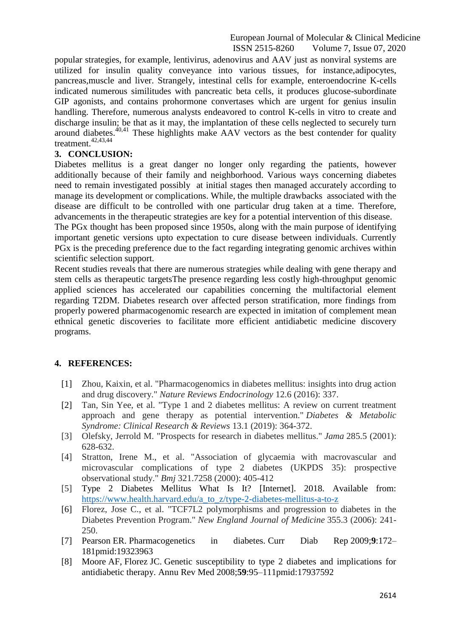popular strategies, for example, lentivirus, adenovirus and AAV just as nonviral systems are utilized for insulin quality conveyance into various tissues, for instance,adipocytes, pancreas,muscle and liver. Strangely, intestinal cells for example, enteroendocrine K-cells indicated numerous similitudes with pancreatic beta cells, it produces glucose-subordinate GIP agonists, and contains prohormone convertases which are urgent for genius insulin handling. Therefore, numerous analysts endeavored to control K-cells in vitro to create and discharge insulin; be that as it may, the implantation of these cells neglected to securely turn around diabetes.<sup>40,41</sup> These highlights make AAV vectors as the best contender for quality treatment. 42,43,44

## **3. CONCLUSION:**

Diabetes mellitus is a great danger no longer only regarding the patients, however additionally because of their family and neighborhood. Various ways concerning diabetes need to remain investigated possibly at initial stages then managed accurately according to manage its development or complications. While, the multiple drawbacks associated with the disease are difficult to be controlled with one particular drug taken at a time. Therefore, advancements in the therapeutic strategies are key for a potential intervention of this disease.

The PGx thought has been proposed since 1950s, along with the main purpose of identifying important genetic versions upto expectation to cure disease between individuals. Currently PGx is the preceding preference due to the fact regarding integrating genomic archives within scientific selection support.

Recent studies reveals that there are numerous strategies while dealing with gene therapy and stem cells as therapeutic targetsThe presence regarding less costly high-throughput genomic applied sciences has accelerated our capabilities concerning the multifactorial element regarding T2DM. Diabetes research over affected person stratification, more findings from properly powered pharmacogenomic research are expected in imitation of complement mean ethnical genetic discoveries to facilitate more efficient antidiabetic medicine discovery programs.

#### **4. REFERENCES:**

- [1] Zhou, Kaixin, et al. "Pharmacogenomics in diabetes mellitus: insights into drug action and drug discovery." *Nature Reviews Endocrinology* 12.6 (2016): 337.
- [2] Tan, Sin Yee, et al. "Type 1 and 2 diabetes mellitus: A review on current treatment approach and gene therapy as potential intervention." *Diabetes & Metabolic Syndrome: Clinical Research & Reviews* 13.1 (2019): 364-372.
- [3] Olefsky, Jerrold M. "Prospects for research in diabetes mellitus." *Jama* 285.5 (2001): 628-632.
- [4] Stratton, Irene M., et al. "Association of glycaemia with macrovascular and microvascular complications of type 2 diabetes (UKPDS 35): prospective observational study." *Bmj* 321.7258 (2000): 405-412
- [5] Type 2 Diabetes Mellitus What Is It? [Internet]. 2018. Available from: [https://www.health.harvard.edu/a\\_to\\_z/type-2-diabetes-mellitus-a-to-z](https://www.health.harvard.edu/a_to_z/type-2-diabetes-mellitus-a-to-z)
- [6] Florez, Jose C., et al. "TCF7L2 polymorphisms and progression to diabetes in the Diabetes Prevention Program." *New England Journal of Medicine* 355.3 (2006): 241- 250.
- [7] Pearson ER. Pharmacogenetics in diabetes. Curr Diab Rep 2009;**9**:172– 181pmid:19323963
- [8] Moore AF, Florez JC. Genetic susceptibility to type 2 diabetes and implications for antidiabetic therapy. Annu Rev Med 2008;**59**:95–111pmid:17937592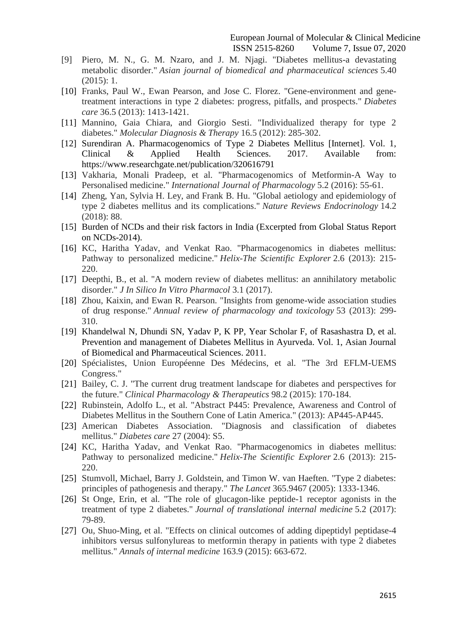- [9] Piero, M. N., G. M. Nzaro, and J. M. Njagi. "Diabetes mellitus-a devastating metabolic disorder." *Asian journal of biomedical and pharmaceutical sciences* 5.40 (2015): 1.
- [10] Franks, Paul W., Ewan Pearson, and Jose C. Florez. "Gene-environment and genetreatment interactions in type 2 diabetes: progress, pitfalls, and prospects." *Diabetes care* 36.5 (2013): 1413-1421.
- [11] Mannino, Gaia Chiara, and Giorgio Sesti. "Individualized therapy for type 2 diabetes." *Molecular Diagnosis & Therapy* 16.5 (2012): 285-302.
- [12] Surendiran A. Pharmacogenomics of Type 2 Diabetes Mellitus [Internet]. Vol. 1, Clinical & Applied Health Sciences. 2017. Available from: https://www.researchgate.net/publication/320616791
- [13] Vakharia, Monali Pradeep, et al. "Pharmacogenomics of Metformin-A Way to Personalised medicine." *International Journal of Pharmacology* 5.2 (2016): 55-61.
- [14] Zheng, Yan, Sylvia H. Ley, and Frank B. Hu. "Global aetiology and epidemiology of type 2 diabetes mellitus and its complications." *Nature Reviews Endocrinology* 14.2 (2018): 88.
- [15] Burden of NCDs and their risk factors in India (Excerpted from Global Status Report on NCDs-2014).
- [16] KC, Haritha Yadav, and Venkat Rao. "Pharmacogenomics in diabetes mellitus: Pathway to personalized medicine." *Helix-The Scientific Explorer* 2.6 (2013): 215- 220.
- [17] Deepthi, B., et al. "A modern review of diabetes mellitus: an annihilatory metabolic disorder." *J In Silico In Vitro Pharmacol* 3.1 (2017).
- [18] Zhou, Kaixin, and Ewan R. Pearson. "Insights from genome-wide association studies of drug response." *Annual review of pharmacology and toxicology* 53 (2013): 299- 310.
- [19] Khandelwal N, Dhundi SN, Yadav P, K PP, Year Scholar F, of Rasashastra D, et al. Prevention and management of Diabetes Mellitus in Ayurveda. Vol. 1, Asian Journal of Biomedical and Pharmaceutical Sciences. 2011.
- [20] Spécialistes, Union Européenne Des Médecins, et al. "The 3rd EFLM-UEMS Congress."
- [21] Bailey, C. J. "The current drug treatment landscape for diabetes and perspectives for the future." *Clinical Pharmacology & Therapeutics* 98.2 (2015): 170-184.
- [22] Rubinstein, Adolfo L., et al. "Abstract P445: Prevalence, Awareness and Control of Diabetes Mellitus in the Southern Cone of Latin America." (2013): AP445-AP445.
- [23] American Diabetes Association. "Diagnosis and classification of diabetes mellitus." *Diabetes care* 27 (2004): S5.
- [24] KC, Haritha Yadav, and Venkat Rao. "Pharmacogenomics in diabetes mellitus: Pathway to personalized medicine." *Helix-The Scientific Explorer* 2.6 (2013): 215- 220.
- [25] Stumvoll, Michael, Barry J. Goldstein, and Timon W. van Haeften. "Type 2 diabetes: principles of pathogenesis and therapy." *The Lancet* 365.9467 (2005): 1333-1346.
- [26] St Onge, Erin, et al. "The role of glucagon-like peptide-1 receptor agonists in the treatment of type 2 diabetes." *Journal of translational internal medicine* 5.2 (2017): 79-89.
- [27] Ou, Shuo-Ming, et al. "Effects on clinical outcomes of adding dipeptidyl peptidase-4 inhibitors versus sulfonylureas to metformin therapy in patients with type 2 diabetes mellitus." *Annals of internal medicine* 163.9 (2015): 663-672.